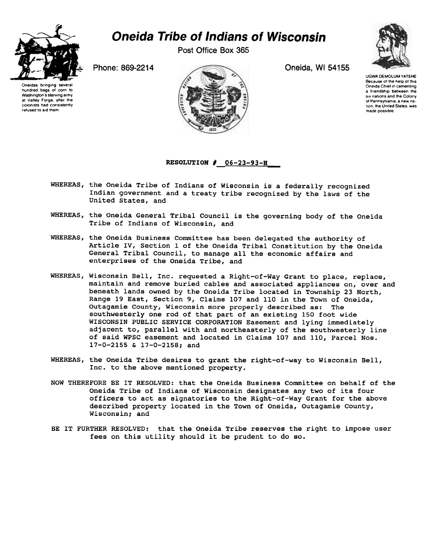

## Oneida Tribe of Indians of Wisconsin

Post Office Box 365



UGWA DEMOLUM YATEHE Because of the help of this Oneida Chief in cementing a friendship between the six nations and the Colony of Pennsylvania, a new nation, the United States, was made possible.





## <u>RESOLUTION # 06-23-93</u>

- WHEREAS, the Oneida Tribe of Indians of Wisconsin is a federally recognized Indian government and a treaty tribe recognized by the laws of the United States, and
- WHEREAS, the Oneida General Tribal Council is the governing body of the Oneida Tribe of Indians of Wisconsin, and
- WHEREAS, the Oneida Business Committee has been delegated the authority of Article IV, Section 1 of the Oneida Tribal Constitution by the Oneida General Tribal Council, to manage all the economic affairs and enterprises of the Oneida Tribe, and
- WHEREAS, Wisconsin Bell, Inc. requested a Right-of-Way Grant to place, replace, maintain and remove buried cables and associated appliances on, over and beneath lands owned by the Oneida Tribe located in Township 23 North, Range 19 East, Section 9, Claims 107 and 110 in the Town of Oneida, Outagamie County, Wisconsin more properly described as: The southwesterly one rod of that part of an existing 150 foot wide WISCONSIN PUBLIC SERVICE CORPORATION Easement and lying immediately adjacent to, parallel with and northeasterly of the southwesterly line of said WPSC easement and located in Claims 107 and 110, Parcel Nos. 17-0-2155 & 17-0-2158; and
- WHEREAS, the Oneida Tribe desires to grant the right-of-way to Wisconsin Bell, Inc. to the above mentioned property.
- NOW THEREFORE BE IT RESOLVED: that the Oneida Business Committee on behalf of the Oneida Tribe of Indians of Wisconsin designates any two of its four officers to act as signatories to the Right-of-Way Grant for the above described property located in the Town of Oneida, Outagamie County, Wisconsin; and
- BE IT FURTHER RESOLVED: that the Oneida Tribe reserves the right to impose user fees on this utility should it be prudent to do so.